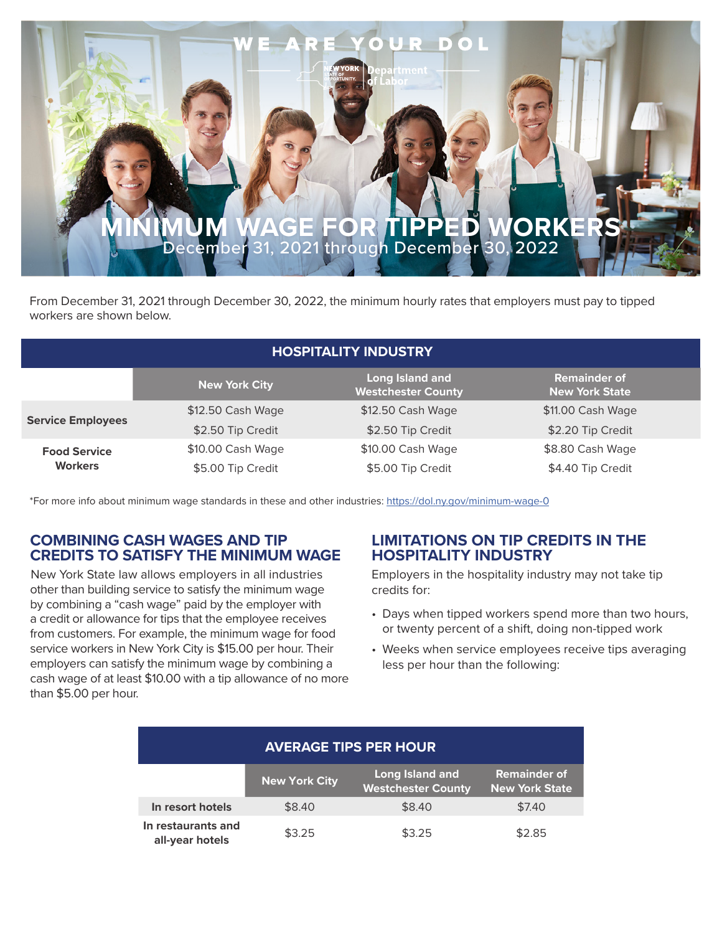

From December 31, 2021 through December 30, 2022, the minimum hourly rates that employers must pay to tipped workers are shown below.

| <b>HOSPITALITY INDUSTRY</b>           |                      |                                              |                                              |  |
|---------------------------------------|----------------------|----------------------------------------------|----------------------------------------------|--|
|                                       | <b>New York City</b> | Long Island and<br><b>Westchester County</b> | <b>Remainder of</b><br><b>New York State</b> |  |
| <b>Service Employees</b>              | \$12.50 Cash Wage    | \$12.50 Cash Wage                            | \$11.00 Cash Wage                            |  |
|                                       | \$2.50 Tip Credit    | \$2.50 Tip Credit                            | \$2.20 Tip Credit                            |  |
| <b>Food Service</b><br><b>Workers</b> | \$10.00 Cash Wage    | \$10.00 Cash Wage                            | \$8.80 Cash Wage                             |  |
|                                       | \$5.00 Tip Credit    | \$5.00 Tip Credit                            | \$4.40 Tip Credit                            |  |

\*For more info about minimum wage standards in these and other industries: https://dol.ny.gov/minimum-wage-0

#### **COMBINING CASH WAGES AND TIP CREDITS TO SATISFY THE MINIMUM WAGE**

New York State law allows employers in all industries other than building service to satisfy the minimum wage by combining a "cash wage" paid by the employer with a credit or allowance for tips that the employee receives from customers. For example, the minimum wage for food service workers in New York City is \$15.00 per hour. Their employers can satisfy the minimum wage by combining a cash wage of at least \$10.00 with a tip allowance of no more than \$5.00 per hour.

# **LIMITATIONS ON TIP CREDITS IN THE HOSPITALITY INDUSTRY**

Employers in the hospitality industry may not take tip credits for:

- Days when tipped workers spend more than two hours, or twenty percent of a shift, doing non-tipped work
- Weeks when service employees receive tips averaging less per hour than the following:

| <b>AVERAGE TIPS PER HOUR</b>          |                      |                                                     |                                              |  |
|---------------------------------------|----------------------|-----------------------------------------------------|----------------------------------------------|--|
|                                       | <b>New York City</b> | <b>Long Island and</b><br><b>Westchester County</b> | <b>Remainder of</b><br><b>New York State</b> |  |
| In resort hotels                      | \$8.40               | \$8.40                                              | \$7.40                                       |  |
| In restaurants and<br>all-year hotels | \$3.25               | \$3.25                                              | \$2.85                                       |  |